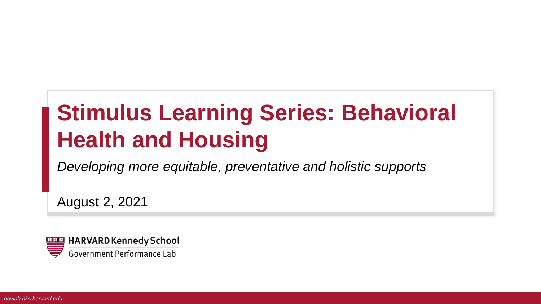# **Stimulus Learning Series: Behavioral Health and Housing**

*Developing more equitable, preventative and holistic supports*

August 2, 2021

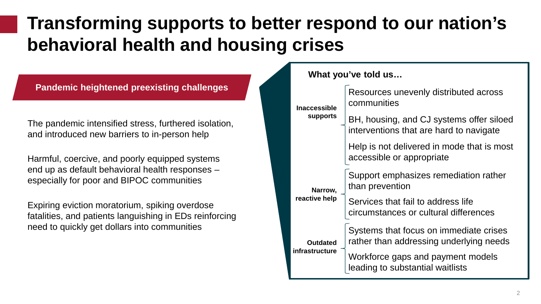## **Transforming supports to better respond to our nation's behavioral health and housing crises**

**Pandemic heightened preexisting challenges**

The pandemic intensified stress, furthered isolation, and introduced new barriers to in-person help

Harmful, coercive, and poorly equipped systems end up as default behavioral health responses – especially for poor and BIPOC communities

Expiring eviction moratorium, spiking overdose fatalities, and patients languishing in EDs reinforcing need to quickly get dollars into communities

**What you've told us…**

| <b>Inaccessible</b> | Resources unevenly distributed across<br>communities                                |
|---------------------|-------------------------------------------------------------------------------------|
| <b>supports</b>     | BH, housing, and CJ systems offer siloed<br>interventions that are hard to navigate |
|                     | Help is not delivered in mode that is most<br>accessible or appropriate             |
| Narrow,             | Support emphasizes remediation rather<br>than prevention                            |
| reactive help       | Services that fail to address life<br>circumstances or cultural differences         |
| <b>Outdated</b>     | Systems that focus on immediate crises<br>rather than addressing underlying needs   |
| infrastructure      | Workforce gaps and payment models<br>leading to substantial waitlists               |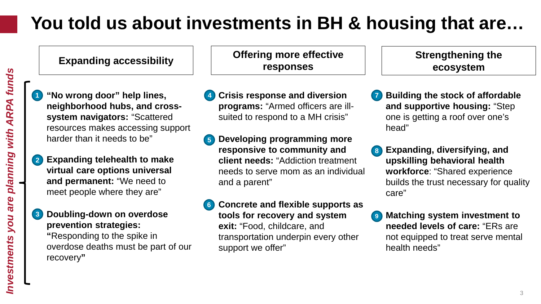## **You told us about investments in BH & housing that are…**

- **"No wrong door" help lines, neighborhood hubs, and crosssystem navigators:** "Scattered resources makes accessing support harder than it needs to be"
- **Expanding telehealth to make 2 virtual care options universal and permanent:** "We need to meet people where they are"

#### **3 Doubling-down on overdose prevention strategies:**

**"**Responding to the spike in overdose deaths must be part of our recovery**"**

**Expanding accessibility Offering more effective responses**

- **Crisis response and diversion programs:** "Armed officers are illsuited to respond to a MH crisis" **4**
- **5 Developing programming more responsive to community and client needs:** "Addiction treatment needs to serve mom as an individual and a parent"
- **6 Concrete and flexible supports as tools for recovery and system exit:** "Food, childcare, and transportation underpin every other support we offer"

**Strengthening the ecosystem**

- **7 Building the stock of affordable and supportive housing:** "Step one is getting a roof over one's head"
- **Expanding, diversifying, and 8 upskilling behavioral health workforce**: "Shared experience builds the trust necessary for quality care"
- **9 Matching system investment to needed levels of care:** "ERs are not equipped to treat serve mental health needs"

**1**